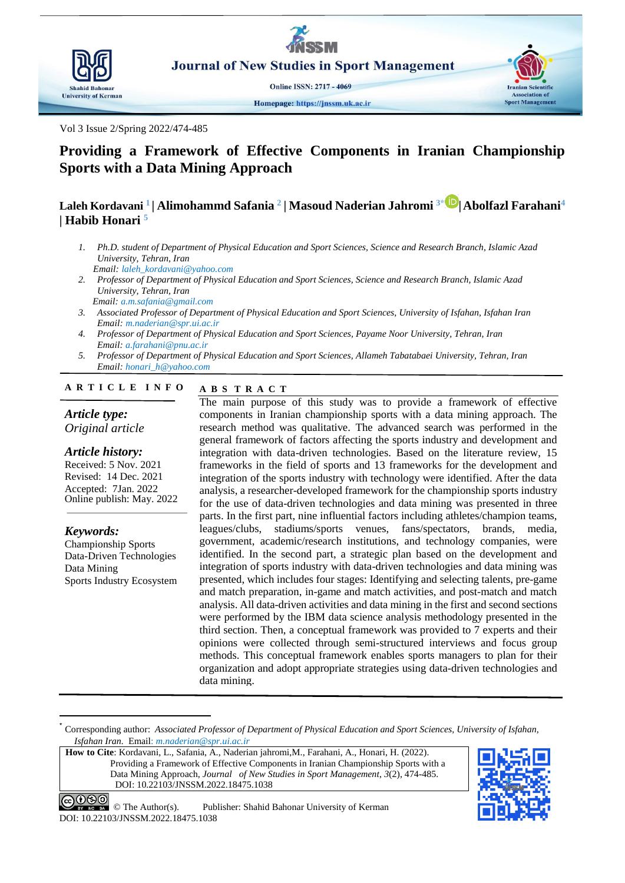

**Journal of New Studies in Sport Management** 

**Online ISSN: 2717 - 4069** 

Vol 3 Issue 2/Spring 2022/474-485

# **Providing a Framework of Effective Components in Iranian Championship Sports with a Data Mining Approach**

## **Laleh Kordavani <sup>1</sup> | Alimohammd Safania <sup>2</sup> | Masoud Naderian Jahromi 3\* |Abolfazl Farahani<sup>4</sup> | Habib Honari <sup>5</sup>**

- *1. Ph.D. student of Department of Physical Education and Sport Sciences, Science and Research Branch, Islamic Azad University, Tehran, Iran Email: laleh\_kordavani@yahoo.com*
- *2. Professor of Department of Physical Education and Sport Sciences, Science and Research Branch, Islamic Azad University, Tehran, Iran*
- *Email: a.m.safania@gmail.com 3. Associated Professor of Department of Physical Education and Sport Sciences, University of Isfahan, Isfahan Iran Email: m.naderian@spr.ui.ac.ir*
- *4. Professor of Department of Physical Education and Sport Sciences, Payame Noor University, Tehran, Iran Email: a.farahani@pnu.ac.ir*
- *5. Professor of Department of Physical Education and Sport Sciences, Allameh Tabatabaei University, Tehran, Iran Email: honari\_h@yahoo.com*

#### **A B S T R A C T A R T I C L E I N F O**

#### *Article type: Original article*

*Article history:*

Received: 5 Nov. 2021 Revised: 14 Dec. 2021 Accepted: 7Jan. 2022 Online publish: May. 2022

*Keywords:* Championship Sports Data-Driven Technologies Data Mining Sports Industry Ecosystem

1

The main purpose of this study was to provide a framework of effective components in Iranian championship sports with a data mining approach. The research method was qualitative. The advanced search was performed in the general framework of factors affecting the sports industry and development and integration with data-driven technologies. Based on the literature review, 15 frameworks in the field of sports and 13 frameworks for the development and integration of the sports industry with technology were identified. After the data analysis, a researcher-developed framework for the championship sports industry for the use of data-driven technologies and data mining was presented in three parts. In the first part, nine influential factors including athletes/champion teams, leagues/clubs, stadiums/sports venues, fans/spectators, brands, media, government, academic/research institutions, and technology companies, were identified. In the second part, a strategic plan based on the development and integration of sports industry with data-driven technologies and data mining was presented, which includes four stages: Identifying and selecting talents, pre-game and match preparation, in-game and match activities, and post-match and match analysis. All data-driven activities and data mining in the first and second sections were performed by the IBM data science analysis methodology presented in the third section. Then, a conceptual framework was provided to 7 experts and their opinions were collected through semi-structured interviews and focus group methods. This conceptual framework enables sports managers to plan for their organization and adopt appropriate strategies using data-driven technologies and data mining.

**How to Cite**: Kordavani, L., Safania, A., Naderian jahromi,M., Farahani, A., Honari, H. (2022). Providing a Framework of Effective Components in Iranian Championship Sports with a Data Mining Approach, *Journal of New Studies in Sport Management*, *3*(2), 474-485. DOI: 10.22103/JNSSM.2022.18475.1038



**Iranian Scientific** 

**Sport Management** 

© The Author(s). Publisher: Shahid Bahonar University of Kerman DOI: 10.22103/JNSSM.2022.18475.1038

<sup>\*</sup> Corresponding author: *Associated Professor of Department of Physical Education and Sport Sciences, University of Isfahan, Isfahan Iran.* Email: *m.naderian@spr.ui.ac.ir*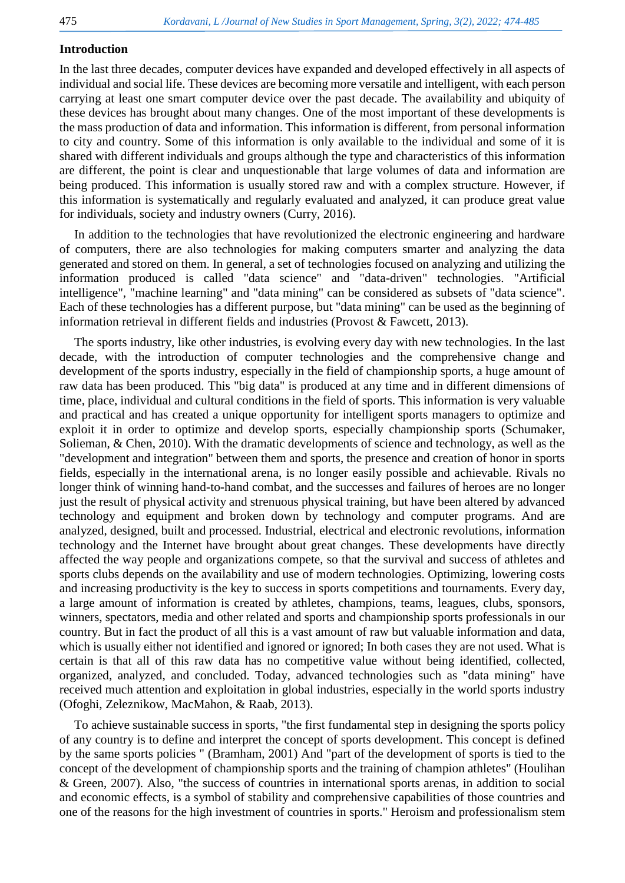#### **Introduction**

In the last three decades, computer devices have expanded and developed effectively in all aspects of individual and social life. These devices are becoming more versatile and intelligent, with each person carrying at least one smart computer device over the past decade. The availability and ubiquity of these devices has brought about many changes. One of the most important of these developments is the mass production of data and information. This information is different, from personal information to city and country. Some of this information is only available to the individual and some of it is shared with different individuals and groups although the type and characteristics of this information are different, the point is clear and unquestionable that large volumes of data and information are being produced. This information is usually stored raw and with a complex structure. However, if this information is systematically and regularly evaluated and analyzed, it can produce great value for individuals, society and industry owners [\(Curry, 2016\)](#page-10-0).

In addition to the technologies that have revolutionized the electronic engineering and hardware of computers, there are also technologies for making computers smarter and analyzing the data generated and stored on them. In general, a set of technologies focused on analyzing and utilizing the information produced is called "data science" and "data-driven" technologies. "Artificial intelligence", "machine learning" and "data mining" can be considered as subsets of "data science". Each of these technologies has a different purpose, but "data mining" can be used as the beginning of information retrieval in different fields and industries [\(Provost & Fawcett, 2013\)](#page-10-1).

The sports industry, like other industries, is evolving every day with new technologies. In the last decade, with the introduction of computer technologies and the comprehensive change and development of the sports industry, especially in the field of championship sports, a huge amount of raw data has been produced. This "big data" is produced at any time and in different dimensions of time, place, individual and cultural conditions in the field of sports. This information is very valuable and practical and has created a unique opportunity for intelligent sports managers to optimize and exploit it in order to optimize and develop sports, especially championship sports [\(Schumaker,](#page-11-0)  [Solieman, & Chen, 2010\)](#page-11-0). With the dramatic developments of science and technology, as well as the "development and integration" between them and sports, the presence and creation of honor in sports fields, especially in the international arena, is no longer easily possible and achievable. Rivals no longer think of winning hand-to-hand combat, and the successes and failures of heroes are no longer just the result of physical activity and strenuous physical training, but have been altered by advanced technology and equipment and broken down by technology and computer programs. And are analyzed, designed, built and processed. Industrial, electrical and electronic revolutions, information technology and the Internet have brought about great changes. These developments have directly affected the way people and organizations compete, so that the survival and success of athletes and sports clubs depends on the availability and use of modern technologies. Optimizing, lowering costs and increasing productivity is the key to success in sports competitions and tournaments. Every day, a large amount of information is created by athletes, champions, teams, leagues, clubs, sponsors, winners, spectators, media and other related and sports and championship sports professionals in our country. But in fact the product of all this is a vast amount of raw but valuable information and data, which is usually either not identified and ignored or ignored; In both cases they are not used. What is certain is that all of this raw data has no competitive value without being identified, collected, organized, analyzed, and concluded. Today, advanced technologies such as "data mining" have received much attention and exploitation in global industries, especially in the world sports industry [\(Ofoghi, Zeleznikow, MacMahon, & Raab, 2013\)](#page-10-2).

To achieve sustainable success in sports, "the first fundamental step in designing the sports policy of any country is to define and interpret the concept of sports development. This concept is defined by the same sports policies " [\(Bramham, 2001\)](#page-10-3) And "part of the development of sports is tied to the concept of the development of championship sports and the training of champion athletes" [\(Houlihan](#page-10-4)  [& Green, 2007\)](#page-10-4). Also, "the success of countries in international sports arenas, in addition to social and economic effects, is a symbol of stability and comprehensive capabilities of those countries and one of the reasons for the high investment of countries in sports." Heroism and professionalism stem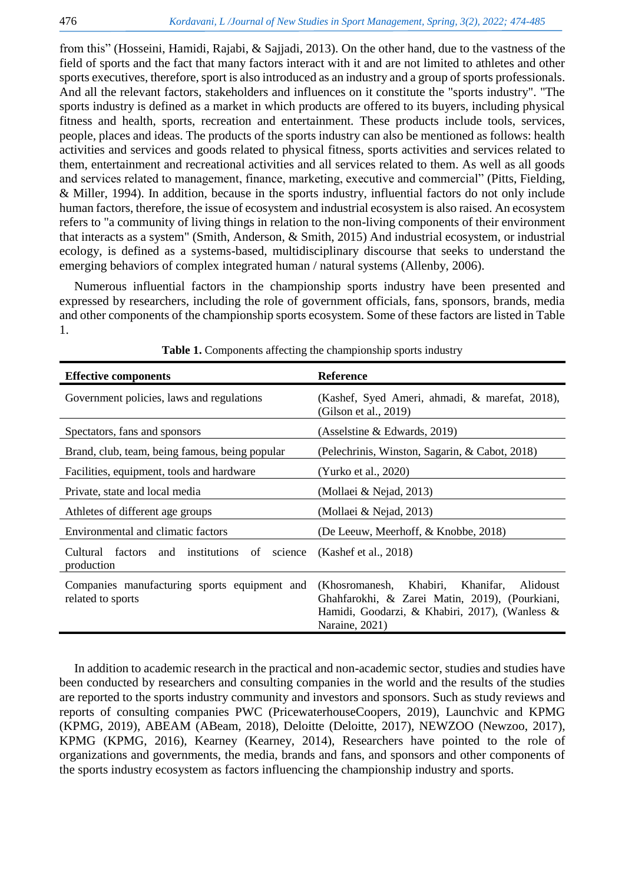from this" [\(Hosseini, Hamidi, Rajabi, & Sajjadi, 2013\)](#page-10-5). On the other hand, due to the vastness of the field of sports and the fact that many factors interact with it and are not limited to athletes and other sports executives, therefore, sport is also introduced as an industry and a group of sports professionals. And all the relevant factors, stakeholders and influences on it constitute the "sports industry". "The sports industry is defined as a market in which products are offered to its buyers, including physical fitness and health, sports, recreation and entertainment. These products include tools, services, people, places and ideas. The products of the sports industry can also be mentioned as follows: health activities and services and goods related to physical fitness, sports activities and services related to them, entertainment and recreational activities and all services related to them. As well as all goods and services related to management, finance, marketing, executive and commercial" [\(Pitts, Fielding,](#page-10-6)  [& Miller, 1994\)](#page-10-6). In addition, because in the sports industry, influential factors do not only include human factors, therefore, the issue of ecosystem and industrial ecosystem is also raised. An ecosystem refers to "a community of living things in relation to the non-living components of their environment that interacts as a system" [\(Smith, Anderson, & Smith, 2015\)](#page-11-1) And industrial ecosystem, or industrial ecology, is defined as a systems-based, multidisciplinary discourse that seeks to understand the emerging behaviors of complex integrated human / natural systems [\(Allenby, 2006\)](#page-10-7).

Numerous influential factors in the championship sports industry have been presented and expressed by researchers, including the role of government officials, fans, sponsors, brands, media and other components of the championship sports ecosystem. Some of these factors are listed in Table 1.

| <b>Effective components</b>                                         | <b>Reference</b>                                                                                                                                                    |
|---------------------------------------------------------------------|---------------------------------------------------------------------------------------------------------------------------------------------------------------------|
| Government policies, laws and regulations                           | (Kashef, Syed Ameri, ahmadi, & marefat, 2018),<br>(Gilson et al., $2019$ )                                                                                          |
| Spectators, fans and sponsors                                       | (Asselstine $& Edwards, 2019$ )                                                                                                                                     |
| Brand, club, team, being famous, being popular                      | (Pelechrinis, Winston, Sagarin, & Cabot, 2018)                                                                                                                      |
| Facilities, equipment, tools and hardware                           | (Yurko et al., 2020)                                                                                                                                                |
| Private, state and local media                                      | (Mollaei & Nejad, 2013)                                                                                                                                             |
| Athletes of different age groups                                    | (Mollaei & Nejad, 2013)                                                                                                                                             |
| Environmental and climatic factors                                  | (De Leeuw, Meerhoff, & Knobbe, 2018)                                                                                                                                |
| and institutions of<br>Cultural<br>factors<br>science<br>production | (Kashef et al., 2018)                                                                                                                                               |
| Companies manufacturing sports equipment and<br>related to sports   | (Khosromanesh, Khabiri, Khanifar,<br>Alidoust<br>Ghahfarokhi, & Zarei Matin, 2019), (Pourkiani,<br>Hamidi, Goodarzi, & Khabiri, 2017), (Wanless &<br>Naraine, 2021) |

**Table 1.** Components affecting the championship sports industry

In addition to academic research in the practical and non-academic sector, studies and studies have been conducted by researchers and consulting companies in the world and the results of the studies are reported to the sports industry community and investors and sponsors. Such as study reviews and reports of consulting companies PWC [\(PricewaterhouseCoopers, 2019\)](#page-10-16), Launchvic and KPMG [\(KPMG, 2019\)](#page-10-17), ABEAM [\(ABeam, 2018\)](#page-10-18), Deloitte [\(Deloitte, 2017\)](#page-10-19), NEWZOO [\(Newzoo, 2017\)](#page-10-20), KPMG [\(KPMG, 2016\)](#page-10-21), Kearney [\(Kearney, 2014\)](#page-10-22), Researchers have pointed to the role of organizations and governments, the media, brands and fans, and sponsors and other components of the sports industry ecosystem as factors influencing the championship industry and sports.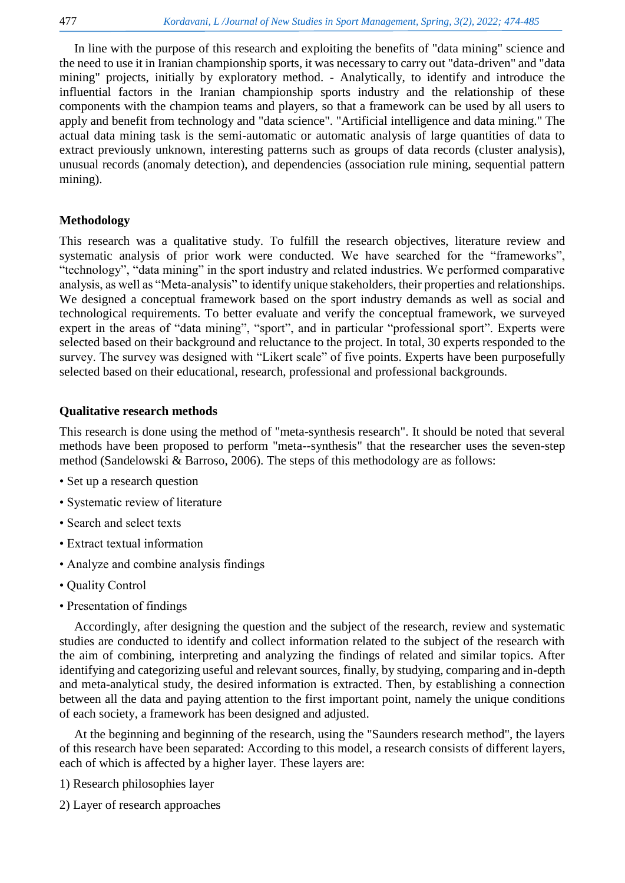In line with the purpose of this research and exploiting the benefits of "data mining" science and the need to use it in Iranian championship sports, it was necessary to carry out "data-driven" and "data mining" projects, initially by exploratory method. - Analytically, to identify and introduce the influential factors in the Iranian championship sports industry and the relationship of these components with the champion teams and players, so that a framework can be used by all users to apply and benefit from technology and "data science". "Artificial intelligence and data mining." The actual data mining task is the semi-automatic or automatic analysis of large quantities of data to extract previously unknown, interesting patterns such as groups of data records (cluster analysis), unusual records (anomaly detection), and dependencies (association rule mining, sequential pattern mining).

# **Methodology**

This research was a qualitative study. To fulfill the research objectives, literature review and systematic analysis of prior work were conducted. We have searched for the "frameworks", "technology", "data mining" in the sport industry and related industries. We performed comparative analysis, as well as "Meta-analysis" to identify unique stakeholders, their properties and relationships. We designed a conceptual framework based on the sport industry demands as well as social and technological requirements. To better evaluate and verify the conceptual framework, we surveyed expert in the areas of "data mining", "sport", and in particular "professional sport". Experts were selected based on their background and reluctance to the project. In total, 30 experts responded to the survey. The survey was designed with "Likert scale" of five points. Experts have been purposefully selected based on their educational, research, professional and professional backgrounds.

# **Qualitative research methods**

This research is done using the method of "meta-synthesis research". It should be noted that several methods have been proposed to perform "meta--synthesis" that the researcher uses the seven-step method [\(Sandelowski & Barroso, 2006\)](#page-10-23). The steps of this methodology are as follows:

- Set up a research question
- Systematic review of literature
- Search and select texts
- Extract textual information
- Analyze and combine analysis findings
- Quality Control
- Presentation of findings

Accordingly, after designing the question and the subject of the research, review and systematic studies are conducted to identify and collect information related to the subject of the research with the aim of combining, interpreting and analyzing the findings of related and similar topics. After identifying and categorizing useful and relevant sources, finally, by studying, comparing and in-depth and meta-analytical study, the desired information is extracted. Then, by establishing a connection between all the data and paying attention to the first important point, namely the unique conditions of each society, a framework has been designed and adjusted.

At the beginning and beginning of the research, using the "Saunders research method", the layers of this research have been separated: According to this model, a research consists of different layers, each of which is affected by a higher layer. These layers are:

1) Research philosophies layer

2) Layer of research approaches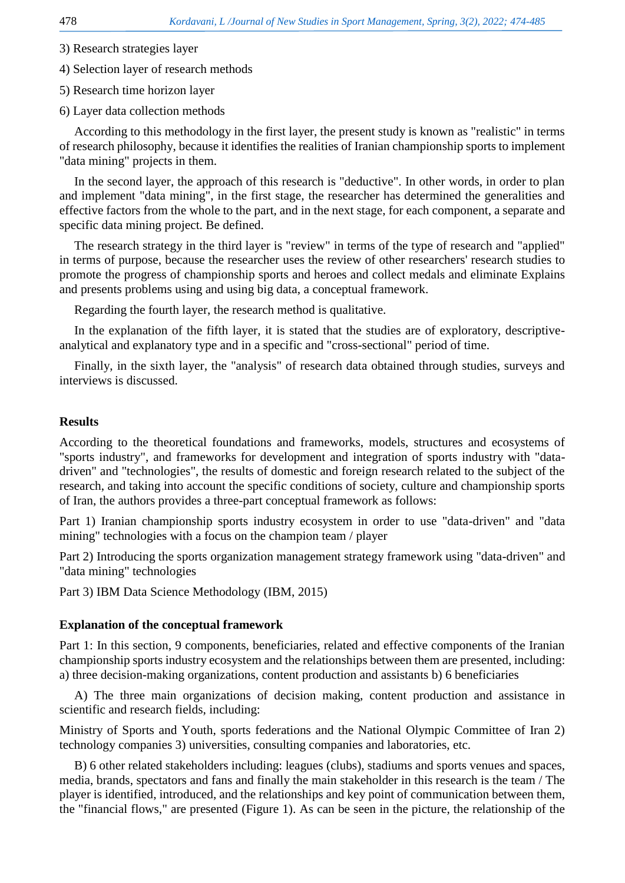- 3) Research strategies layer
- 4) Selection layer of research methods
- 5) Research time horizon layer
- 6) Layer data collection methods

According to this methodology in the first layer, the present study is known as "realistic" in terms of research philosophy, because it identifies the realities of Iranian championship sports to implement "data mining" projects in them.

In the second layer, the approach of this research is "deductive". In other words, in order to plan and implement "data mining", in the first stage, the researcher has determined the generalities and effective factors from the whole to the part, and in the next stage, for each component, a separate and specific data mining project. Be defined.

The research strategy in the third layer is "review" in terms of the type of research and "applied" in terms of purpose, because the researcher uses the review of other researchers' research studies to promote the progress of championship sports and heroes and collect medals and eliminate Explains and presents problems using and using big data, a conceptual framework.

Regarding the fourth layer, the research method is qualitative.

In the explanation of the fifth layer, it is stated that the studies are of exploratory, descriptiveanalytical and explanatory type and in a specific and "cross-sectional" period of time.

Finally, in the sixth layer, the "analysis" of research data obtained through studies, surveys and interviews is discussed.

## **Results**

According to the theoretical foundations and frameworks, models, structures and ecosystems of "sports industry", and frameworks for development and integration of sports industry with "datadriven" and "technologies", the results of domestic and foreign research related to the subject of the research, and taking into account the specific conditions of society, culture and championship sports of Iran, the authors provides a three-part conceptual framework as follows:

Part 1) Iranian championship sports industry ecosystem in order to use "data-driven" and "data mining" technologies with a focus on the champion team / player

Part 2) Introducing the sports organization management strategy framework using "data-driven" and "data mining" technologies

Part 3) IBM Data Science Methodology [\(IBM, 2015\)](#page-10-24)

## **Explanation of the conceptual framework**

Part 1: In this section, 9 components, beneficiaries, related and effective components of the Iranian championship sports industry ecosystem and the relationships between them are presented, including: a) three decision-making organizations, content production and assistants b) 6 beneficiaries

A) The three main organizations of decision making, content production and assistance in scientific and research fields, including:

Ministry of Sports and Youth, sports federations and the National Olympic Committee of Iran 2) technology companies 3) universities, consulting companies and laboratories, etc.

B) 6 other related stakeholders including: leagues (clubs), stadiums and sports venues and spaces, media, brands, spectators and fans and finally the main stakeholder in this research is the team / The player is identified, introduced, and the relationships and key point of communication between them, the "financial flows," are presented (Figure 1). As can be seen in the picture, the relationship of the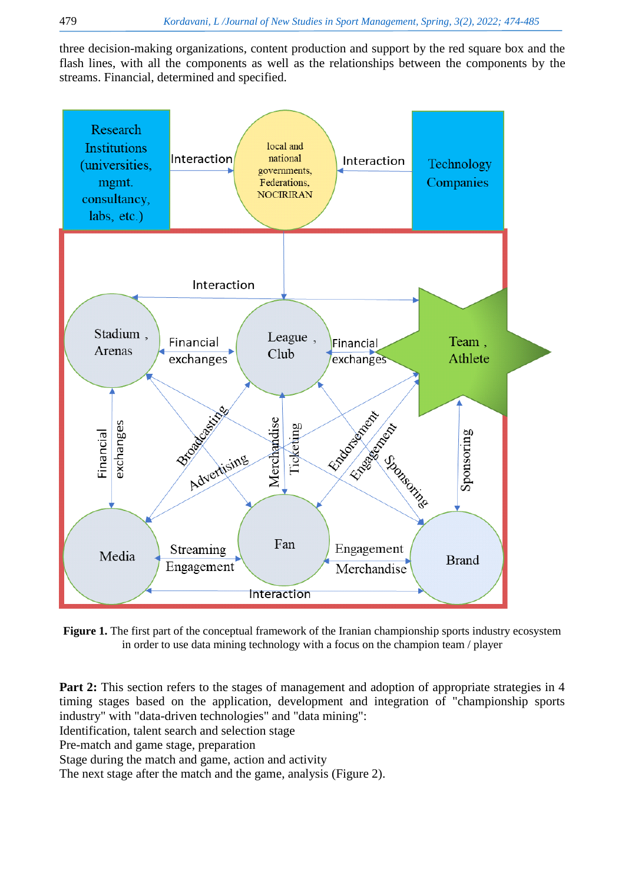three decision-making organizations, content production and support by the red square box and the flash lines, with all the components as well as the relationships between the components by the streams. Financial, determined and specified.



**Figure 1.** The first part of the conceptual framework of the Iranian championship sports industry ecosystem in order to use data mining technology with a focus on the champion team / player

**Part 2:** This section refers to the stages of management and adoption of appropriate strategies in 4 timing stages based on the application, development and integration of "championship sports industry" with "data-driven technologies" and "data mining":

Identification, talent search and selection stage

Pre-match and game stage, preparation

Stage during the match and game, action and activity

The next stage after the match and the game, analysis (Figure 2).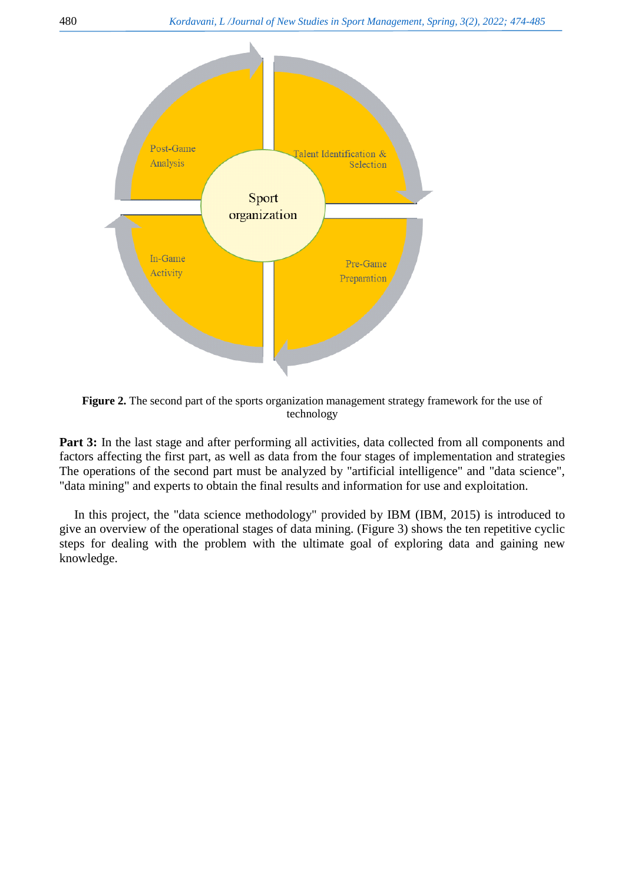

**Figure 2.** The second part of the sports organization management strategy framework for the use of technology

Part 3: In the last stage and after performing all activities, data collected from all components and factors affecting the first part, as well as data from the four stages of implementation and strategies The operations of the second part must be analyzed by "artificial intelligence" and "data science", "data mining" and experts to obtain the final results and information for use and exploitation.

In this project, the "data science methodology" provided by IBM [\(IBM, 2015\)](#page-10-24) is introduced to give an overview of the operational stages of data mining. (Figure 3) shows the ten repetitive cyclic steps for dealing with the problem with the ultimate goal of exploring data and gaining new knowledge.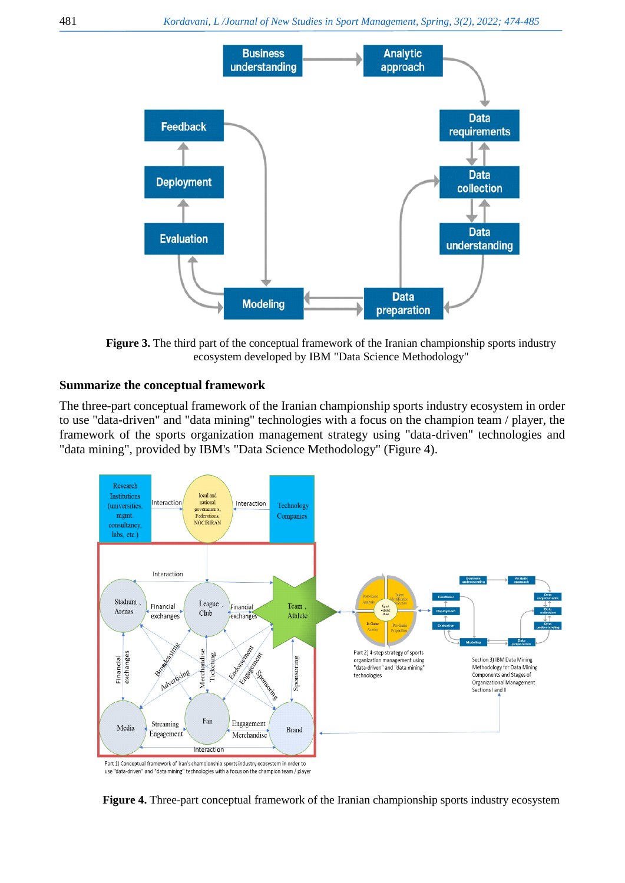

**Figure 3.** The third part of the conceptual framework of the Iranian championship sports industry ecosystem developed by IBM "Data Science Methodology"

# **Summarize the conceptual framework**

The three-part conceptual framework of the Iranian championship sports industry ecosystem in order to use "data-driven" and "data mining" technologies with a focus on the champion team / player, the framework of the sports organization management strategy using "data-driven" technologies and "data mining", provided by IBM's "Data Science Methodology" (Figure 4).



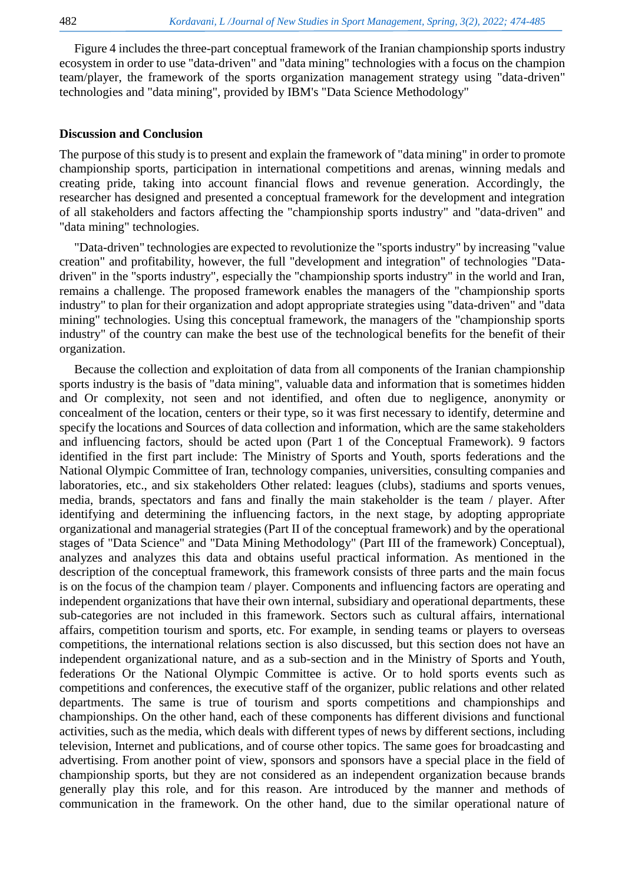Figure 4 includes the three-part conceptual framework of the Iranian championship sports industry ecosystem in order to use "data-driven" and "data mining" technologies with a focus on the champion team/player, the framework of the sports organization management strategy using "data-driven" technologies and "data mining", provided by IBM's "Data Science Methodology"

## **Discussion and Conclusion**

The purpose of this study is to present and explain the framework of "data mining" in order to promote championship sports, participation in international competitions and arenas, winning medals and creating pride, taking into account financial flows and revenue generation. Accordingly, the researcher has designed and presented a conceptual framework for the development and integration of all stakeholders and factors affecting the "championship sports industry" and "data-driven" and "data mining" technologies.

"Data-driven" technologies are expected to revolutionize the "sports industry" by increasing "value creation" and profitability, however, the full "development and integration" of technologies "Datadriven" in the "sports industry", especially the "championship sports industry" in the world and Iran, remains a challenge. The proposed framework enables the managers of the "championship sports industry" to plan for their organization and adopt appropriate strategies using "data-driven" and "data mining" technologies. Using this conceptual framework, the managers of the "championship sports industry" of the country can make the best use of the technological benefits for the benefit of their organization.

Because the collection and exploitation of data from all components of the Iranian championship sports industry is the basis of "data mining", valuable data and information that is sometimes hidden and Or complexity, not seen and not identified, and often due to negligence, anonymity or concealment of the location, centers or their type, so it was first necessary to identify, determine and specify the locations and Sources of data collection and information, which are the same stakeholders and influencing factors, should be acted upon (Part 1 of the Conceptual Framework). 9 factors identified in the first part include: The Ministry of Sports and Youth, sports federations and the National Olympic Committee of Iran, technology companies, universities, consulting companies and laboratories, etc., and six stakeholders Other related: leagues (clubs), stadiums and sports venues, media, brands, spectators and fans and finally the main stakeholder is the team / player. After identifying and determining the influencing factors, in the next stage, by adopting appropriate organizational and managerial strategies (Part II of the conceptual framework) and by the operational stages of "Data Science" and "Data Mining Methodology" (Part III of the framework) Conceptual), analyzes and analyzes this data and obtains useful practical information. As mentioned in the description of the conceptual framework, this framework consists of three parts and the main focus is on the focus of the champion team / player. Components and influencing factors are operating and independent organizations that have their own internal, subsidiary and operational departments, these sub-categories are not included in this framework. Sectors such as cultural affairs, international affairs, competition tourism and sports, etc. For example, in sending teams or players to overseas competitions, the international relations section is also discussed, but this section does not have an independent organizational nature, and as a sub-section and in the Ministry of Sports and Youth, federations Or the National Olympic Committee is active. Or to hold sports events such as competitions and conferences, the executive staff of the organizer, public relations and other related departments. The same is true of tourism and sports competitions and championships and championships. On the other hand, each of these components has different divisions and functional activities, such as the media, which deals with different types of news by different sections, including television, Internet and publications, and of course other topics. The same goes for broadcasting and advertising. From another point of view, sponsors and sponsors have a special place in the field of championship sports, but they are not considered as an independent organization because brands generally play this role, and for this reason. Are introduced by the manner and methods of communication in the framework. On the other hand, due to the similar operational nature of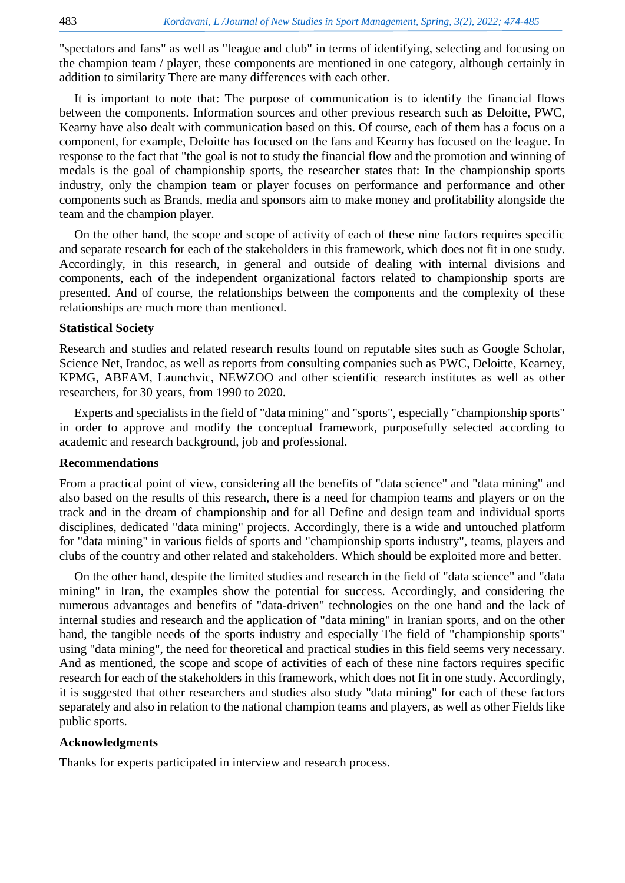"spectators and fans" as well as "league and club" in terms of identifying, selecting and focusing on the champion team / player, these components are mentioned in one category, although certainly in addition to similarity There are many differences with each other.

It is important to note that: The purpose of communication is to identify the financial flows between the components. Information sources and other previous research such as Deloitte, PWC, Kearny have also dealt with communication based on this. Of course, each of them has a focus on a component, for example, Deloitte has focused on the fans and Kearny has focused on the league. In response to the fact that "the goal is not to study the financial flow and the promotion and winning of medals is the goal of championship sports, the researcher states that: In the championship sports industry, only the champion team or player focuses on performance and performance and other components such as Brands, media and sponsors aim to make money and profitability alongside the team and the champion player.

On the other hand, the scope and scope of activity of each of these nine factors requires specific and separate research for each of the stakeholders in this framework, which does not fit in one study. Accordingly, in this research, in general and outside of dealing with internal divisions and components, each of the independent organizational factors related to championship sports are presented. And of course, the relationships between the components and the complexity of these relationships are much more than mentioned.

#### **Statistical Society**

Research and studies and related research results found on reputable sites such as Google Scholar, Science Net, Irandoc, as well as reports from consulting companies such as PWC, Deloitte, Kearney, KPMG, ABEAM, Launchvic, NEWZOO and other scientific research institutes as well as other researchers, for 30 years, from 1990 to 2020.

Experts and specialists in the field of "data mining" and "sports", especially "championship sports" in order to approve and modify the conceptual framework, purposefully selected according to academic and research background, job and professional.

#### **Recommendations**

From a practical point of view, considering all the benefits of "data science" and "data mining" and also based on the results of this research, there is a need for champion teams and players or on the track and in the dream of championship and for all Define and design team and individual sports disciplines, dedicated "data mining" projects. Accordingly, there is a wide and untouched platform for "data mining" in various fields of sports and "championship sports industry", teams, players and clubs of the country and other related and stakeholders. Which should be exploited more and better.

On the other hand, despite the limited studies and research in the field of "data science" and "data mining" in Iran, the examples show the potential for success. Accordingly, and considering the numerous advantages and benefits of "data-driven" technologies on the one hand and the lack of internal studies and research and the application of "data mining" in Iranian sports, and on the other hand, the tangible needs of the sports industry and especially The field of "championship sports" using "data mining", the need for theoretical and practical studies in this field seems very necessary. And as mentioned, the scope and scope of activities of each of these nine factors requires specific research for each of the stakeholders in this framework, which does not fit in one study. Accordingly, it is suggested that other researchers and studies also study "data mining" for each of these factors separately and also in relation to the national champion teams and players, as well as other Fields like public sports.

## **Acknowledgments**

Thanks for experts participated in interview and research process.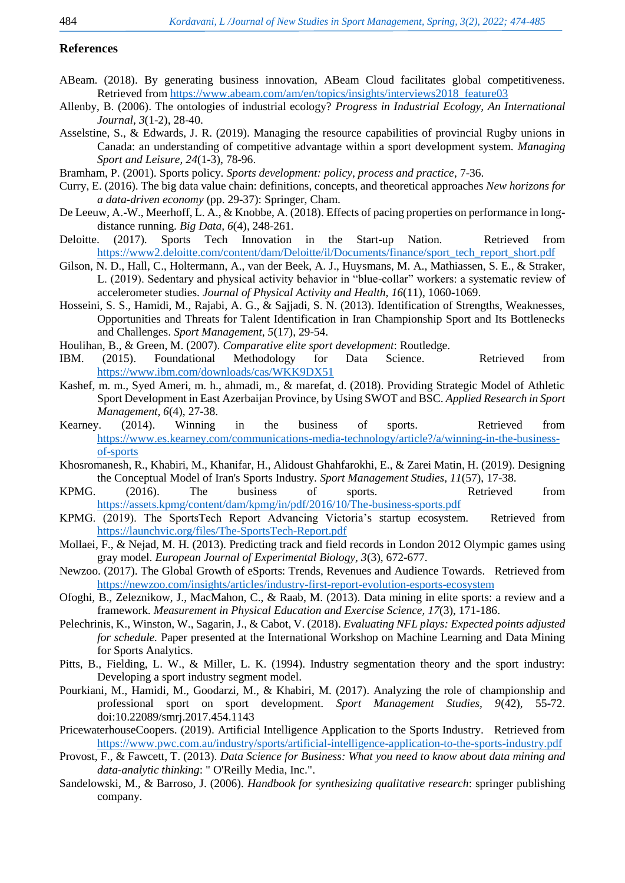#### **References**

- <span id="page-10-18"></span>ABeam. (2018). By generating business innovation, ABeam Cloud facilitates global competitiveness. Retrieved from [https://www.abeam.com/am/en/topics/insights/interviews2018\\_feature03](https://www.abeam.com/am/en/topics/insights/interviews2018_feature03)
- <span id="page-10-7"></span>Allenby, B. (2006). The ontologies of industrial ecology? *Progress in Industrial Ecology, An International Journal, 3*(1-2), 28-40.
- <span id="page-10-10"></span>Asselstine, S., & Edwards, J. R. (2019). Managing the resource capabilities of provincial Rugby unions in Canada: an understanding of competitive advantage within a sport development system. *Managing Sport and Leisure, 24*(1-3), 78-96.
- <span id="page-10-3"></span>Bramham, P. (2001). Sports policy. *Sports development: policy, process and practice*, 7-36.
- <span id="page-10-0"></span>Curry, E. (2016). The big data value chain: definitions, concepts, and theoretical approaches *New horizons for a data-driven economy* (pp. 29-37): Springer, Cham.
- <span id="page-10-13"></span>De Leeuw, A.-W., Meerhoff, L. A., & Knobbe, A. (2018). Effects of pacing properties on performance in longdistance running. *Big Data, 6*(4), 248-261.
- <span id="page-10-19"></span>Deloitte. (2017). Sports Tech Innovation in the Start-up Nation. Retrieved from [https://www2.deloitte.com/content/dam/Deloitte/il/Documents/finance/sport\\_tech\\_report\\_short.pdf](https://www2.deloitte.com/content/dam/Deloitte/il/Documents/finance/sport_tech_report_short.pdf)
- <span id="page-10-9"></span>Gilson, N. D., Hall, C., Holtermann, A., van der Beek, A. J., Huysmans, M. A., Mathiassen, S. E., & Straker, L. (2019). Sedentary and physical activity behavior in "blue-collar" workers: a systematic review of accelerometer studies. *Journal of Physical Activity and Health, 16*(11), 1060-1069.
- <span id="page-10-5"></span>Hosseini, S. S., Hamidi, M., Rajabi, A. G., & Sajjadi, S. N. (2013). Identification of Strengths, Weaknesses, Opportunities and Threats for Talent Identification in Iran Championship Sport and Its Bottlenecks and Challenges. *Sport Management, 5*(17), 29-54.
- <span id="page-10-4"></span>Houlihan, B., & Green, M. (2007). *Comparative elite sport development*: Routledge.
- <span id="page-10-24"></span>IBM. (2015). Foundational Methodology for Data Science. Retrieved from <https://www.ibm.com/downloads/cas/WKK9DX51>
- <span id="page-10-8"></span>Kashef, m. m., Syed Ameri, m. h., ahmadi, m., & marefat, d. (2018). Providing Strategic Model of Athletic Sport Development in East Azerbaijan Province, by Using SWOT and BSC. *Applied Research in Sport Management, 6(4), 27-38.*<br>*i.* (2014). Winning
- <span id="page-10-22"></span>Kearney. (2014). Winning in the business of sports. Retrieved from [https://www.es.kearney.com/communications-media-technology/article?/a/winning-in-the-business](https://www.es.kearney.com/communications-media-technology/article?/a/winning-in-the-business-of-sports)[of-sports](https://www.es.kearney.com/communications-media-technology/article?/a/winning-in-the-business-of-sports)
- <span id="page-10-14"></span>Khosromanesh, R., Khabiri, M., Khanifar, H., Alidoust Ghahfarokhi, E., & Zarei Matin, H. (2019). Designing the Conceptual Model of Iran's Sports Industry. *Sport Management Studies, 11*(57), 17-38.
- <span id="page-10-21"></span>KPMG. (2016). The business of sports. Retrieved from <https://assets.kpmg/content/dam/kpmg/in/pdf/2016/10/The-business-sports.pdf>
- <span id="page-10-17"></span>KPMG. (2019). The SportsTech Report Advancing Victoria's startup ecosystem. Retrieved from <https://launchvic.org/files/The-SportsTech-Report.pdf>
- <span id="page-10-12"></span>Mollaei, F., & Nejad, M. H. (2013). Predicting track and field records in London 2012 Olympic games using gray model. *European Journal of Experimental Biology, 3*(3), 672-677.
- <span id="page-10-20"></span>Newzoo. (2017). The Global Growth of eSports: Trends, Revenues and Audience Towards. Retrieved from <https://newzoo.com/insights/articles/industry-first-report-evolution-esports-ecosystem>
- <span id="page-10-2"></span>Ofoghi, B., Zeleznikow, J., MacMahon, C., & Raab, M. (2013). Data mining in elite sports: a review and a framework. *Measurement in Physical Education and Exercise Science, 17*(3), 171-186.
- <span id="page-10-11"></span>Pelechrinis, K., Winston, W., Sagarin, J., & Cabot, V. (2018). *Evaluating NFL plays: Expected points adjusted for schedule.* Paper presented at the International Workshop on Machine Learning and Data Mining for Sports Analytics.
- <span id="page-10-6"></span>Pitts, B., Fielding, L. W., & Miller, L. K. (1994). Industry segmentation theory and the sport industry: Developing a sport industry segment model.
- <span id="page-10-15"></span>Pourkiani, M., Hamidi, M., Goodarzi, M., & Khabiri, M. (2017). Analyzing the role of championship and professional sport on sport development. *Sport Management Studies, 9*(42), 55-72. doi:10.22089/smrj.2017.454.1143
- <span id="page-10-16"></span>PricewaterhouseCoopers. (2019). Artificial Intelligence Application to the Sports Industry. Retrieved from <https://www.pwc.com.au/industry/sports/artificial-intelligence-application-to-the-sports-industry.pdf>
- <span id="page-10-1"></span>Provost, F., & Fawcett, T. (2013). *Data Science for Business: What you need to know about data mining and data-analytic thinking*: " O'Reilly Media, Inc.".
- <span id="page-10-23"></span>Sandelowski, M., & Barroso, J. (2006). *Handbook for synthesizing qualitative research*: springer publishing company.